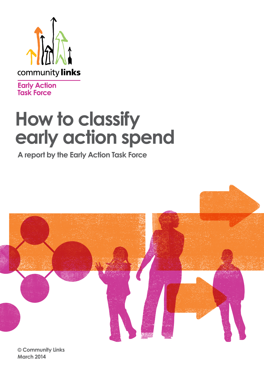

**Early Action**<br>Task Force

# **How to classify early action spend**

**A report by the Early Action Task Force**



**© Community Links March 2014**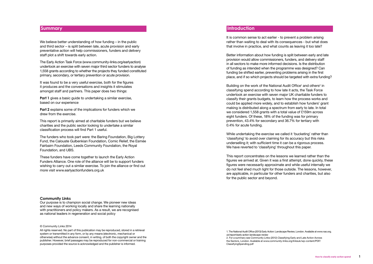#### **Summary**

We believe better understanding of how funding – in the public and third sector – is split between late, acute provision and early preventative action will help commissioners, funders and delivery staff plot a shift towards early action.

**Part 1** gives a basic quide to undertaking a similar exercise, based on our experience

The Early Action Task Force (www.community-links.org/earlyaction) undertook an exercise with seven major third sector funders to analyse 1,558 grants according to whether the projects they funded constituted primary, secondary, or tertiary prevention or acute provision.

It was found to be a very useful exercise, both for the figures it produces and the conversations and insights it stimulates amongst staff and partners. This paper does two things:

**Part 2** explains some of the implications for funders which we drew from the exercise.

This report is primarily aimed at charitable funders but we believe charities and the public sector looking to undertake a similar classification process will find Part 1 useful.

The funders who took part were: the Baring Foundation, Big Lottery Fund, the Calouste Gulbenkian Foundation, Comic Relief, the Esmée Fairbairn Foundation, Leeds Community Foundation, the Royal Foundation, and UBS.

These funders have come together to launch the Early Action Funders Alliance. One role of the alliance will be to support funders wishing to carry out a similar exercise. To join the alliance or find out more visit www.earlyactionfunders.org.uk

#### © Community Links 2014

Building on the work of the National Audit Office<sup>1</sup> and others<sup>2</sup> in classifying spend according to how late it acts, the Task Force undertook an exercise with seven major UK charitable funders to classify their grants budgets, to learn how the process works and could be applied more widely, and to establish how funders' grant making is distributed along a spectrum from early to late. In total we considered 1,558 grants with a total value of £159m across eight funders. Of these, 18% of the funding was for primary prevention, 43.4% for secondary and 36.7% for tertiary with 0.4% for acute funding.

While undertaking the exercise we called it 'bucketing' rather than 'classifying' to avoid over claiming for its accuracy but this risks underselling it; with sufficient time it can be a rigorous process. We have reverted to 'classifying' throughout this paper.

All rights reserved. No part of this publication may be reproduced, stored in a retrieval system or transmitted in any form, or by any means (electronic, mechanical or otherwise) without the advance consent, in writing, of both the copyright owner and the publisher. However, brief passages may be reproduced for non-commercial or training purposes provided the source is acknowledged and the publisher is informed.

#### **Community Links**

Our purpose is to champion social change. We pioneer new ideas and new ways of working locally and share the learning nationally with practitioners and policy makers. As a result, we are recognised as national leaders in regeneration and social policy

#### **Introduction**

It is common sense to act earlier - to prevent a problem arising rather than waiting to deal with its consequences - but what does that involve in practice, and what counts as leaving it too late?

Better information about how funding is split between early and late provision would allow commissioners, funders, and delivery staff in all sectors to make more informed decisions. Is the distribution of funding as intended when the programme was designed? Can funding be shifted earlier, preventing problems arising in the first place, and if so which projects should be targeted with extra funding?

This report concentrates on the lessons we learned rather than the figures we arrived at. Given it was a first attempt, done quickly, these figures were necessarily approximate and while useful internally we do not feel shed much light for those outside. The lessons, however, are applicable, in particular for other funders and charities, but also for the public sector and beyond.

1. The National Audit Office (2013) Early Action: Landscape Review, London. Available at www.nao.org. uk/report/early-action-landscape-review 2. For a summary see Community Links (2012) Classifying Early and Late Action Across the Sectors, London. Available at www.community-links.org/linksuk/wp-content/PDF/ ClassifyingSpending.pdf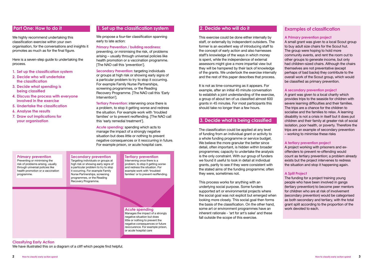#### **Tertiary prevention**

Intervening once there is a problem, to stop it getting worse and redress the situation. For example work with 'troubled families' or to prevent reoffending.

#### **Primary prevention** Preventing or minimising the risk of problems arising, usually through universal policies like health promotion or a vaccination programme. **Secondary prevention** Targeting individuals or groups at high risk or showing early signs of a particular problem to try to stop it occurring. For example Family Nurse Partnerships, screening programmes, or the Reading

We highly recommend undertaking this classification exercise within your own organisation, for the conversations and insights it promotes as much as for the final figure.

Recovery Programme.

## **Classifying Early Action**

We have illustrated this on a diagram of a cliff which people find helpful.

#### **Acute spending**

We propose a four-tier classification spanning early to late action:

> Manages the impact of a strongly negative situation but does little or nothing to prevent the negative consequences or future reoccurence. For example prison, or acute hospital care

## **Part One: How to do it**

**Secondary Prevention:** targeting individuals or groups at high risk or showing early signs of a particular problem to try to stop it occurring. For example Family Nurse Partnerships, screening programmes, or the Reading Recovery Programme. [The NAO call this 'Early Intervention'].

Here is a seven-step guide to undertaking the process.

- **1. Set up the classification system**
- **2. Decide who will undertake the classification**
- **3. Decide what spending is being classified**
- **4. Discuss the process with everyone involved in the exercise**
- **5. Undertake the classification**
- **6. Analyse the results**
- **7. Draw out implications for your organisation**

## **1. Set up the classification system**

#### **Primary Prevention / building readiness:**

preventing, or minimising the risk, of problems arising – usually through universal policies like health promotion or a vaccination programme. [The NAO call this 'prevention'].

**Tertiary Prevention:** intervening once there is a problem, to stop it getting worse and redress the situation. For example work with 'troubled families' or to prevent reoffending. [The NAO call this 'early remedial treatment'].

**Acute spending:** spending which acts to manage the impact of a strongly negative situation but does little or nothing to prevent negative consequences or it reoccurring in future. For example prison, or acute hospital care.

**2. Decide who will do it** 

## This exercise could be done either internally by

The funding for a project training young people who have been involved in gangs (tertiary prevention) to become peer mentors for children who are at risk of involvement (secondary prevention) would be categorised as both secondary and tertiary, with the total grant split according to the proportion of the work devoted to each.

staff, or externally by independent outsiders. The former is an excellent way of introducing staff to the concept of early action and also harnesses staff's knowledge of the ways in which money is spent, while the independence of external assessors might give a more impartial view but they will be hampered by their lack of knowledge of the grants. We undertook the exercise internally and the rest of this paper describes that process.

It is not as time-consuming as it appears. For example, after an initial 45 minute conversation to establish a joint understanding of the exercise, a group of about ten of us classified almost 600 grants in 45 minutes. For most participants this should take no longer than a few hours.

## **3. Decide what is being classified**

The classification could be applied at any level of funding from an individual grant or activity to a whole funding programme or service budget. We believe the more granular the better since detail, often important, is hidden within broader programmes; capacity to undertake the analysis is the only constraint. With our group of funders we found it useful to look in detail at individual grants, partly to see if they were consistent with the stated aims of the funding programme; often they were, sometimes not.

This process works for anything with an underlying social purpose. Some funders supported art or environmental projects where the social goal was not explicit but emerged when looking more closely. This social goal then forms the basis of the classification. On the other hand, some art or environment programmes have an inherent rationale - 'art for art's sake' and these fall outside the scope of this exercise.

## **Examples of classification**

#### **A Primary prevention project**

A small grant was given to a local Scout group to buy adult size chairs for the Scout hut. The group were hoping to hold more community events, and rent the room out to other groups to generate income, but only had children-sized chairs. Although the chairs themselves are not preventative (except perhaps of bad backs) they contribute to the overall work of the Scout group, which would be classified as primary prevention.

#### **A secondary prevention project**

A grant was given to a local charity which provides trips to the seaside for children with severe learning difficulties and their families. The trips are a chance for the children to socialise and the families to relax. A learning disability is not a crisis in itself but it does put children and their family at greater risk of social isolation, poor health, or poverty. Therefore the trips are an example of secondary prevention – working to minimise these risks

#### **A tertiary prevention project**

A project working with prisoners and exoffenders to prevent re-offending would count as tertiary prevention; a problem already exists but the project intervenes to redress the situation and stop it happening again.

#### **A Split Project**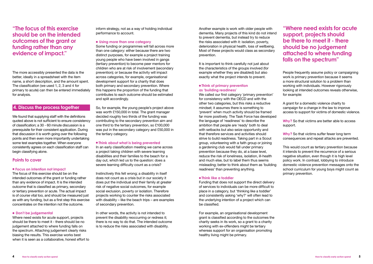## **"The focus of this exercise should be on the intended outcomes of the grant or funding rather than any evidence of impact."**

The more accessibly presented the data is the better, ideally in a spreadsheet with the item name, a short description, and the amount spent. The classification (we used 1, 2, 3 and 4 for primary to acute) can then be entered immediately for analysis.

## **4. Discuss the process together**

We found that supplying staff with the definitions quoted above is not sufficient to ensure consistency of classification; a 30 - 60 minute discussion is a prerequisite for their consistent application. During that discussion it is worth going over the following points and then even more importantly undertaking some test examples together. When everyone consistently agrees on each classification staff can begin classifying alone.

### **Points to cover**

#### l **Focus on intention not impact**

The focus of this exercise should be on the intended outcomes of the grant or funding rather than any evidence of impact. It is the intended outcome that is classified as primary, secondary or tertiary prevention or acute. The actual impact is of course vital too, and should be measured just as with any funding, but as a first step this exercise concentrates on the intention not the outcome.

#### $\bullet$  **Don't be judgemental**

Where need exists for acute support, projects should be there to meet it - there should be no judgement attached to where funding falls on the spectrum. Attaching judgement clearly risks biasing the results. This exercise works best when it is seen as a collaborative, honest effort to inform strategy, not as a way of holding individual performance to account.

#### $\bullet$  **Using more than one category**

#### **• Think of primary prevention as 'building readiness'**

Some funding or programmes will fall across more than one category: either because there are two distinct purposes, for example a project training young people who have been involved in gangs (tertiary prevention) to become peer mentors for children who are at risk of involvement (secondary prevention); or because the activity will impact across categories, for example, organisational development support for a charity that does both primary and secondary prevention. Where this happens the proportion of the funding that contributes to each outcome should be estimated and split accordingly.

So, for example, the young people's project above was worth £150,000 in total. The grant manager decided roughly two thirds of the funding was contributing to the secondary prevention aim and one third to the tertiary prevention, so £100,000 was put in the secondary category and £50,000 in the tertiary category.

#### $\bullet$  **Think about what is being prevented**

For example, an organisational development grant is classified according to the outcomes the charity seeks in its work, so a grant to a charity working with ex-offenders might be tertiary whereas support for an organisation promoting healthy living might be primary.

In an early classification meeting we came across a project taking children with severe learning disabilities and their families to the beach for a day out, which led us to the question: does a severe learning difficulty count as a crisis?

Instinctively this felt wrong; a disability in itself does not count as a crisis but in our society it does put the individual and their family at greater risk of negative social outcomes, for example social exclusion, poverty or isolation. Therefore projects working to counter the risks associated with disability – like the beach trips – are examples of secondary prevention.

In other words, the activity is not intended to prevent the disability reoccurring or redress it; there is no way to do that. The intended outcome is to reduce the risks associated with disability.

Another example is work with older people with dementia. Many projects of this kind do not intend to prevent dementia, but instead try to reduce the risks associated with it: isolation, poverty, deterioration in physical health, loss of wellbeing. Most of these projects would class as secondary prevention.

It is important to think carefully not just about the characteristics of the groups involved (for example whether they are disabled) but also exactly what the project intends to prevent.

We called our first category 'primary prevention' for consistency with the OECD and with the other two categories, but this risks a reductive mindset; it assumes there is something to 'prevent' when much activity should be framed far more positively. The Task Force has developed the language of 'readiness' to describe the ambition that people are 'ready' both to deal with setbacks but also seize opportunity and that therefore services and activities should strive to build readiness. Taking part in a Scout group, volunteering with a faith group or joining a gardening club would fall under primary prevention because they do, at a base level, reduce the risk of loneliness, isolation, ill-health and much else, but to label them thus seems misleading; better to think about them as 'building readiness' than preventing anything.

#### $\bullet$  **Think like a toddler**

Funding that does not support the direct delivery of services to individuals can be more difficult to place in a category, but 'thinking like a toddler' and consistently asking 'why?' will often lead to the underlying intention of a project which can be classified.

People frequently assume policy or campaigning work is primary prevention because it seems a more structural solution to a problem than working with individuals. However rigorously looking at intended outcomes reveals otherwise, for example:

A grant for a domestic violence charity to campaign for a change in the law to improve access to support for victims of domestic violence.

**Why?** So that victims are better able to access support.

**Why?** So that victims suffer fewer long term consequences and repeat attacks are prevented.

This would count as tertiary prevention because it intends to prevent the recurrence of a serious negative situation, even though it is high level policy work. In contrast, lobbying to introduce domestic violence prevention messages onto the school curriculum for young boys might count as primary prevention.

## **"Where need exists for acute support, projects should be there to meet it - there should be no judgement attached to where funding falls on the spectrum"**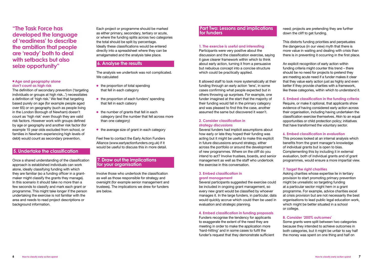#### **e Age and geography alone don't count as high risk**

The definition of secondary prevention ('targeting individuals or groups at high risk...') necessitates a definition of 'high risk.' We feel that targeting based purely on age (for example people aged over 65) or on geography (such as people living in the London Borough of Newham) doesn't count as 'high risk' even though they are valid risk factors. However work with groups defined by age or geography and another risk factor (for example 15 year olds excluded from school, or families in Newham experiencing high levels of debt) would count as secondary prevention.

## **5. Undertake the classification**

Once a shared understanding of the classification approach is established individuals can work alone, ideally classifying funding with which they are familiar (so a funding officer in a grantmaker might classify the grants they manage). In this scenario it should take no more than a few seconds to classify and mark each grant or programme. This might take longer if the person undertaking the exercise is not familiar with the area and needs to read project descriptions or background information.

Each project or programme should be marked as either primary, secondary, tertiary or acute, or where the funding splits across two categories the total should be split by percentage. Ideally these classifications would be entered directly into a spreadsheet where they can be amalgamated and the analysis take place.

## **6. Analyse the results**

The analysis we undertook was not complicated. We calculated

- $\bullet$  the proportion of total spending that fell in each category
- $\bullet$  the proportion of each funders' spending that fell in each cateory
- $\bullet$  the number of grants that fell in each category (and the number that fell across more than one category)
- $\bullet$  the average size of grant in each category

Feel free to contact the Early Action Funders Alliance (www.earlyactionfunders.org.uk) if it would be useful to discuss this in more detail.

### **7. Draw out the implications for your organisation**

need; projects are pretending they are further down the cliff to get funding.

Involve those who undertook the classification as well as those responsible for strategy and oversight (for example senior management and trustees). The implications we drew for funders are below.

## **"The Task Force has developed the language of 'readiness' to describe the ambition that people are 'ready' both to deal with setbacks but also seize opportunity"**

#### **Part Two: Lessons and implications for funders**

#### **1. The exercise is useful and interesting**

Participants were very positive about the discussion and the classification exercise, saying it gave clearer framework within which to think about early action, turning it from a persuasive but nebulous concept into a concise structure which could be practically applied.

It allowed staff to look more systematically at their funding through an early action 'lens', in some cases confirming what people expected but in others throwing up surprises. For example, one funder imagined at the start that the majority of their funding would fall in the primary category and was pleased to find this the case, another assumed the same but discovered it wasn't.

> Some grants were split between two categories because they intended to achieve outcomes in both categories, but it might be unfair to say half the money was spent on one thing and half on

#### **2. Consider classification in strategy discussions**

Several funders had implicit assumptions about how early or late they hoped their funding was acting but it might be useful to make this explicit in future discussions around strategy, either across the portfolio or around the development of new programmes. Where on the cliff do you intend to act? Involve trustees, boards, and senior management as well as the staff who undertook the exercise in this conversation.

#### **3. Embed classification in grant management**

Several participants suggested the exercise could be included in ongoing grant management, so every new grant would be classified by whoever manages it. In the large funders, in particular, data would quickly accrue which could then be used in evaluation and strategic planning.

#### **4. Embed classification in funding proposals**

Funders recognise the tendency for applicants to exaggerate the extent of the need they are meeting in order to make the application more 'hard-hitting' and in some cases to fulfil the funder's request that they demonstrate sufficient This distorts funding priorities and perpetuates the dangerous (in our view) myth that there is more value in waiting and dealing with crisis than there is in preventing it occurring in the first place.

An explicit recognition of early action within funding criteria might counter this trend – there should be no need for projects to pretend they are meeting acute need if a funder makes it clear that they value early action just as highly and even better if they provide charities with a framework, like these categories, within which to understand it.

#### **5. Embed classification in the funding criteria**

Require, or make it optional, that applicants show evidence of having considered early action across their organisation, including having undertaken the classification exercise themselves. Akin to an equal opportunities or child protection policy; initiatives that have transformed the voluntary sector.

#### **6. Embed classification in evaluation**

This process looked at an internal analysis which benefits from the grant manager's knowledge of individual grants but is open to bias. Complementing this by including it in external evaluation, both of individual grants and of grant programmes, would ensure a more impartial view.

#### **7. Target the right charities**

Asking charities whose expertise lie in tertiary provision to start promoting primary prevention might be unrealistic so targeting funding at a particular sector might hem in a grant programme. For example, advice charities excel at crisis provision but are not necessarily the best organisations to lead public legal education work, which might be better situated in a school or college.

#### **8. Consider '200% outcomes'**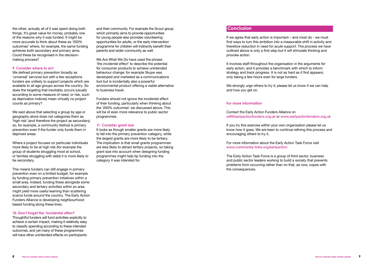the other; actually all of it was spent doing both things. It's great value for money, probably one of the reasons why it was funded. It might be more accurate to think about these as '200% outcomes' where, for example, the same funding achieves both secondary and primary aims. Could these be recognised in the decisionmaking process?

We defined primary prevention broadly as 'universal' services but with a few exceptions funders are unlikely to support projects which are available to all age groups across the country. So does the targeting that inevitably occurs (usually according to some measure of need, or risk, such as deprivation indices) mean virtually no project counts as primary?

#### **9. Consider where to act**

Thoughtful funders will fund activities explicitly to achieve a certain impact, making it relatively easy to classify spending according to these intended outcomes, and yet many of these programmes will have other unintended effects on participants

We said above that selecting a group by age or geography alone does not categorise them as 'high risk' (and therefore the project as secondary) so, for example, a community festival is primary prevention even if the funder only funds them in deprived areas.

Where a project focuses on particular individuals more likely to be at high risk (for example the group of students struggling most at school, or families struggling with debt) it is more likely to be secondary.

This means funders can still engage in primary prevention even on a limited budget, for example by funding primary prevention initiatives within a small area. Indeed, funding these alongside some secondary and tertiary activities within an area might yield more useful learning than scattering scarce funds around the country. The Early Action Funders Alliance is developing neighbourhood based funding along these lines.

#### **10. Don't forget the 'incidental effect'**

We strongly urge others to try it; please let us know if we can help and how you get on.

and their community. For example the Scout group which primarily aims to provide opportunities for young people also provides volunteering opportunities for adults, or the early intervention programme for children will indirectly benefit their parents and wider community as well.

We Are What We Do have used the phrase *'the incidental effect'* to describe the potential for consumer products to achieve unintended behaviour change; for example Skype was developed and marketed as a communications tool but is incidentally also a powerful environmental product offering a viable alternative to business travel.

Funders should not ignore the incidental effect of their funding, particularly when thinking about the '200% outcomes' we discussed above. This will be of even more relevance to public sector programmes.

#### **11. Consider grant size**

It looks as though smaller grants are more likely to fall into the primary prevention category, while the largest grants are more likely to be tertiary. The implication is that small grants programmes are less likely to attract tertiary projects, so taking grant size into account when designing funding programmes might help tip funding into the category it was intended for.

## **Conclusion**

If we agree that early action is important – and most do - we must find ways to turn this ambition into a measurable shift in activity and therefore reduction in need for acute support. The process we have outlined above is only a first step but it will stimulate thinking and provoke action.

It involves staff throughout the organisation in the arguments for early action, and it provides a benchmark with which to inform strategy and track progress. It is not as hard as it first appears; only taking a few hours even for large funders.

#### **For more information**

Contact the Early Action Funders Alliance on will@earlyactionfunders.org.uk or www.earlyactionfunders.org.uk

If you try this exercise within your own organisation please let us know how it goes. We are keen to continue refining this process and encouraging others to try it.

For more information about the Early Action Task Force visit www.community-links.org/earlyaction

The Early Action Task Force is a group of third sector, business and public sector leaders working to build a society that prevents problems from occurring rather than on that, as now, copes with the consequences.